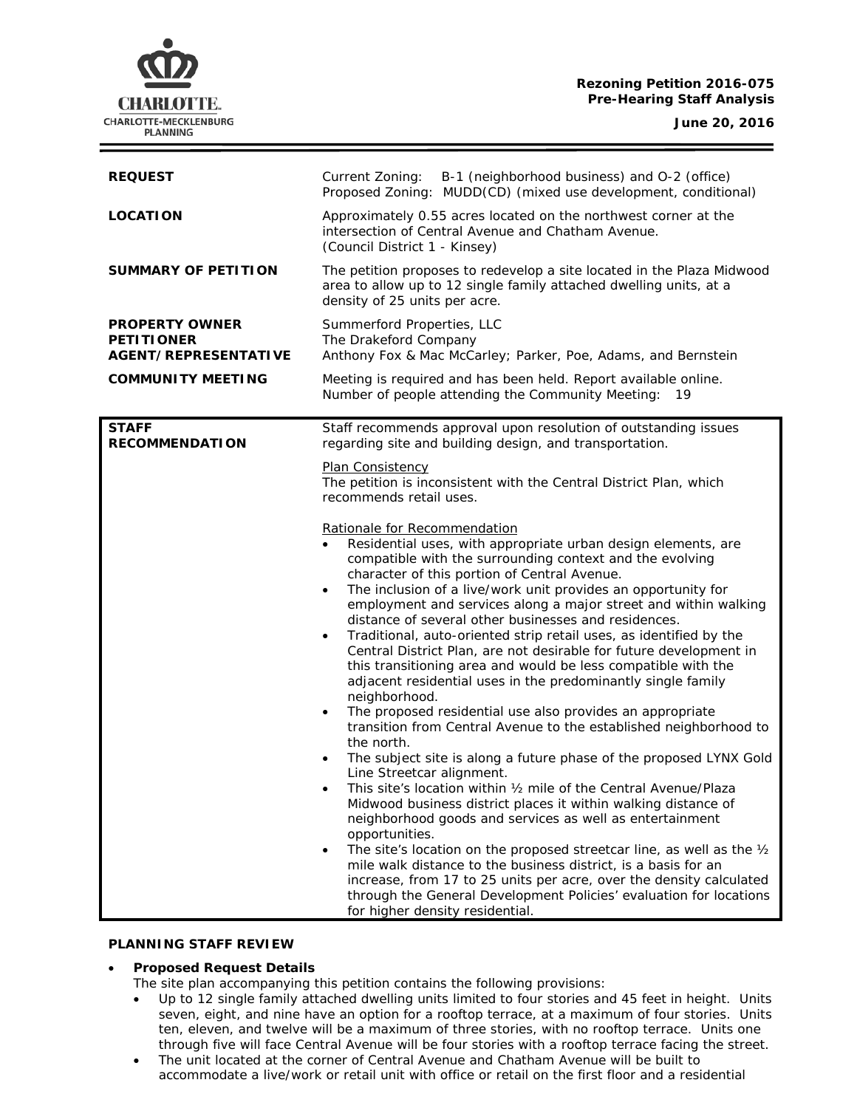# **Rezoning Petition 2016-075 Pre-Hearing Staff Analysis**

**CHARLOTTE.** CHARLOTTE-MECKLENBURG **PLANNING** 

| <b>REQUEST</b>                                                     | B-1 (neighborhood business) and O-2 (office)<br>Current Zoning:<br>Proposed Zoning: MUDD(CD) (mixed use development, conditional)                                                                                                                                                                                                                                                                                                                                                                                                                                                                                                                                                                                                                                                                                                                                                                                                                                                                                                                                                                                                                                                                                                                                                                                                                                                                                                                                                                                                                                                                                                                                                                                                                                                                             |  |
|--------------------------------------------------------------------|---------------------------------------------------------------------------------------------------------------------------------------------------------------------------------------------------------------------------------------------------------------------------------------------------------------------------------------------------------------------------------------------------------------------------------------------------------------------------------------------------------------------------------------------------------------------------------------------------------------------------------------------------------------------------------------------------------------------------------------------------------------------------------------------------------------------------------------------------------------------------------------------------------------------------------------------------------------------------------------------------------------------------------------------------------------------------------------------------------------------------------------------------------------------------------------------------------------------------------------------------------------------------------------------------------------------------------------------------------------------------------------------------------------------------------------------------------------------------------------------------------------------------------------------------------------------------------------------------------------------------------------------------------------------------------------------------------------------------------------------------------------------------------------------------------------|--|
| <b>LOCATION</b>                                                    | Approximately 0.55 acres located on the northwest corner at the<br>intersection of Central Avenue and Chatham Avenue.<br>(Council District 1 - Kinsey)                                                                                                                                                                                                                                                                                                                                                                                                                                                                                                                                                                                                                                                                                                                                                                                                                                                                                                                                                                                                                                                                                                                                                                                                                                                                                                                                                                                                                                                                                                                                                                                                                                                        |  |
| SUMMARY OF PETITION                                                | The petition proposes to redevelop a site located in the Plaza Midwood<br>area to allow up to 12 single family attached dwelling units, at a<br>density of 25 units per acre.                                                                                                                                                                                                                                                                                                                                                                                                                                                                                                                                                                                                                                                                                                                                                                                                                                                                                                                                                                                                                                                                                                                                                                                                                                                                                                                                                                                                                                                                                                                                                                                                                                 |  |
| <b>PROPERTY OWNER</b><br><b>PETITIONER</b><br>AGENT/REPRESENTATIVE | Summerford Properties, LLC<br>The Drakeford Company<br>Anthony Fox & Mac McCarley; Parker, Poe, Adams, and Bernstein                                                                                                                                                                                                                                                                                                                                                                                                                                                                                                                                                                                                                                                                                                                                                                                                                                                                                                                                                                                                                                                                                                                                                                                                                                                                                                                                                                                                                                                                                                                                                                                                                                                                                          |  |
| <b>COMMUNITY MEETING</b>                                           | Meeting is required and has been held. Report available online.<br>Number of people attending the Community Meeting:<br>19                                                                                                                                                                                                                                                                                                                                                                                                                                                                                                                                                                                                                                                                                                                                                                                                                                                                                                                                                                                                                                                                                                                                                                                                                                                                                                                                                                                                                                                                                                                                                                                                                                                                                    |  |
| <b>STAFF</b><br><b>RECOMMENDATION</b>                              | Staff recommends approval upon resolution of outstanding issues<br>regarding site and building design, and transportation.<br>Plan Consistency<br>The petition is inconsistent with the Central District Plan, which<br>recommends retail uses.<br>Rationale for Recommendation<br>Residential uses, with appropriate urban design elements, are<br>compatible with the surrounding context and the evolving<br>character of this portion of Central Avenue.<br>The inclusion of a live/work unit provides an opportunity for<br>$\bullet$<br>employment and services along a major street and within walking<br>distance of several other businesses and residences.<br>Traditional, auto-oriented strip retail uses, as identified by the<br>$\bullet$<br>Central District Plan, are not desirable for future development in<br>this transitioning area and would be less compatible with the<br>adjacent residential uses in the predominantly single family<br>neighborhood.<br>The proposed residential use also provides an appropriate<br>$\bullet$<br>transition from Central Avenue to the established neighborhood to<br>the north.<br>The subject site is along a future phase of the proposed LYNX Gold<br>$\bullet$<br>Line Streetcar alignment.<br>This site's location within 1/2 mile of the Central Avenue/Plaza<br>Midwood business district places it within walking distance of<br>neighborhood goods and services as well as entertainment<br>opportunities.<br>The site's location on the proposed streetcar line, as well as the 1/2<br>mile walk distance to the business district, is a basis for an<br>increase, from 17 to 25 units per acre, over the density calculated<br>through the General Development Policies' evaluation for locations<br>for higher density residential. |  |

#### **PLANNING STAFF REVIEW**

# • **Proposed Request Details**

- The site plan accompanying this petition contains the following provisions:
- Up to 12 single family attached dwelling units limited to four stories and 45 feet in height. Units seven, eight, and nine have an option for a rooftop terrace, at a maximum of four stories. Units ten, eleven, and twelve will be a maximum of three stories, with no rooftop terrace. Units one through five will face Central Avenue will be four stories with a rooftop terrace facing the street.
- The unit located at the corner of Central Avenue and Chatham Avenue will be built to accommodate a live/work or retail unit with office or retail on the first floor and a residential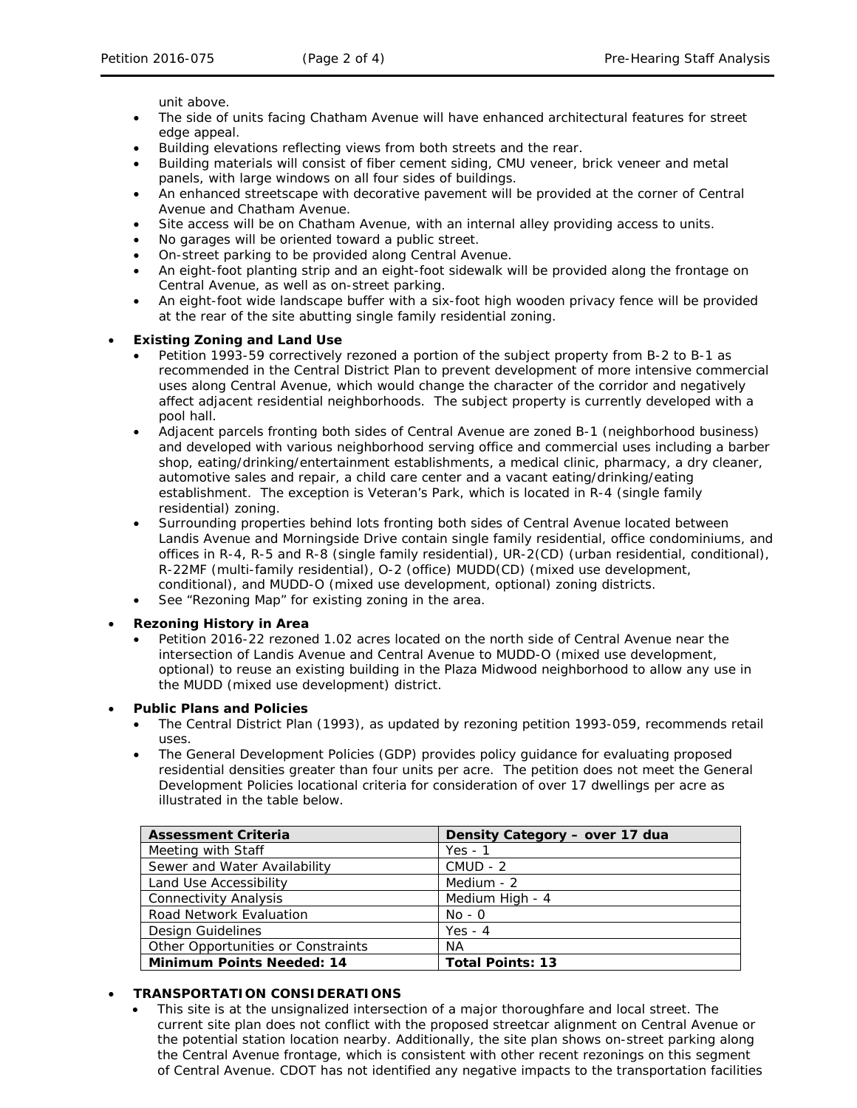unit above.

- The side of units facing Chatham Avenue will have enhanced architectural features for street edge appeal.
- Building elevations reflecting views from both streets and the rear.
- Building materials will consist of fiber cement siding, CMU veneer, brick veneer and metal panels, with large windows on all four sides of buildings.
- An enhanced streetscape with decorative pavement will be provided at the corner of Central Avenue and Chatham Avenue.
- Site access will be on Chatham Avenue, with an internal alley providing access to units.
- No garages will be oriented toward a public street.
- On-street parking to be provided along Central Avenue.
- An eight-foot planting strip and an eight-foot sidewalk will be provided along the frontage on Central Avenue, as well as on-street parking.
- An eight-foot wide landscape buffer with a six-foot high wooden privacy fence will be provided at the rear of the site abutting single family residential zoning.

### • **Existing Zoning and Land Use**

- Petition 1993-59 correctively rezoned a portion of the subject property from B-2 to B-1 as recommended in the Central District Plan to prevent development of more intensive commercial uses along Central Avenue, which would change the character of the corridor and negatively affect adjacent residential neighborhoods. The subject property is currently developed with a pool hall.
- Adjacent parcels fronting both sides of Central Avenue are zoned B-1 (neighborhood business) and developed with various neighborhood serving office and commercial uses including a barber shop, eating/drinking/entertainment establishments, a medical clinic, pharmacy, a dry cleaner, automotive sales and repair, a child care center and a vacant eating/drinking/eating establishment. The exception is Veteran's Park, which is located in R-4 (single family residential) zoning.
- Surrounding properties behind lots fronting both sides of Central Avenue located between Landis Avenue and Morningside Drive contain single family residential, office condominiums, and offices in R-4, R-5 and R-8 (single family residential), UR-2(CD) (urban residential, conditional), R-22MF (multi-family residential), O-2 (office) MUDD(CD) (mixed use development, conditional), and MUDD-O (mixed use development, optional) zoning districts.
- See "Rezoning Map" for existing zoning in the area.

## • **Rezoning History in Area**

• Petition 2016-22 rezoned 1.02 acres located on the north side of Central Avenue near the intersection of Landis Avenue and Central Avenue to MUDD-O (mixed use development, optional) to reuse an existing building in the Plaza Midwood neighborhood to allow any use in the MUDD (mixed use development) district.

#### • **Public Plans and Policies**

- The Central District Plan (1993), as updated by rezoning petition 1993-059, recommends retail uses.
- The *General Development Policies* (GDP) provides policy guidance for evaluating proposed residential densities greater than four units per acre. The petition does not meet the General Development Policies locational criteria for consideration of over 17 dwellings per acre as illustrated in the table below.

| <b>Assessment Criteria</b>         | Density Category - over 17 dua |
|------------------------------------|--------------------------------|
| Meeting with Staff                 | $Yes - 1$                      |
| Sewer and Water Availability       | $CMUD - 2$                     |
| Land Use Accessibility             | Medium - 2                     |
| <b>Connectivity Analysis</b>       | Medium High - 4                |
| Road Network Evaluation            | $No - O$                       |
| Design Guidelines                  | Yes - $4$                      |
| Other Opportunities or Constraints | <b>NA</b>                      |
| <b>Minimum Points Needed: 14</b>   | <b>Total Points: 13</b>        |

## • **TRANSPORTATION CONSIDERATIONS**

This site is at the unsignalized intersection of a major thoroughfare and local street. The current site plan does not conflict with the proposed streetcar alignment on Central Avenue or the potential station location nearby. Additionally, the site plan shows on-street parking along the Central Avenue frontage, which is consistent with other recent rezonings on this segment of Central Avenue. CDOT has not identified any negative impacts to the transportation facilities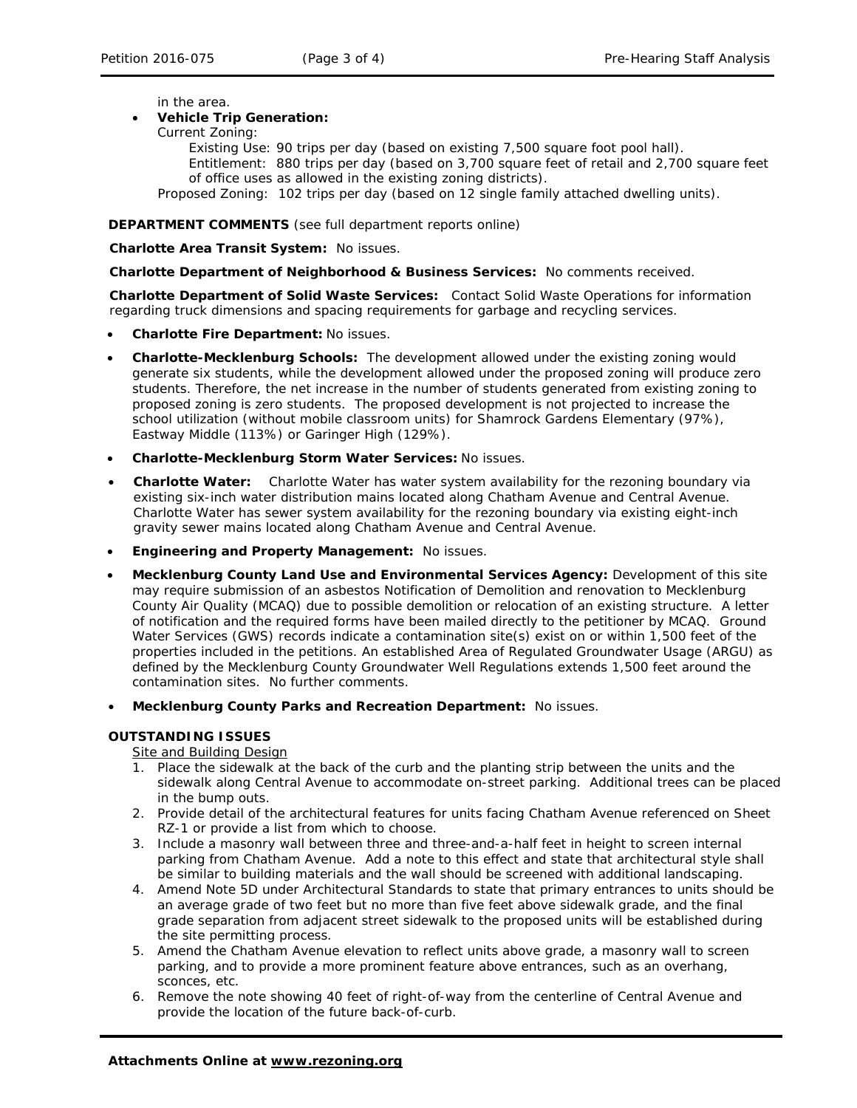in the area.

### • **Vehicle Trip Generation:**

Current Zoning:

Existing Use: 90 trips per day (based on existing 7,500 square foot pool hall). Entitlement: 880 trips per day (based on 3,700 square feet of retail and 2,700 square feet of office uses as allowed in the existing zoning districts). Proposed Zoning: 102 trips per day (based on 12 single family attached dwelling units).

### **DEPARTMENT COMMENTS** (see full department reports online)

**Charlotte Area Transit System:** No issues.

**Charlotte Department of Neighborhood & Business Services:** No comments received.

**Charlotte Department of Solid Waste Services:** Contact Solid Waste Operations for information regarding truck dimensions and spacing requirements for garbage and recycling services.

- **Charlotte Fire Department:** No issues.
- **Charlotte-Mecklenburg Schools:** The development allowed under the existing zoning would generate six students, while the development allowed under the proposed zoning will produce zero students. Therefore, the net increase in the number of students generated from existing zoning to proposed zoning is zero students. The proposed development is not projected to increase the school utilization (without mobile classroom units) for Shamrock Gardens Elementary (97%), Eastway Middle (113%) or Garinger High (129%).
- **Charlotte-Mecklenburg Storm Water Services:** No issues.
- **Charlotte Water:** Charlotte Water has water system availability for the rezoning boundary via existing six-inch water distribution mains located along Chatham Avenue and Central Avenue. Charlotte Water has sewer system availability for the rezoning boundary via existing eight-inch gravity sewer mains located along Chatham Avenue and Central Avenue.
- **Engineering and Property Management:** No issues.
- **Mecklenburg County Land Use and Environmental Services Agency:** Development of this site may require submission of an asbestos Notification of Demolition and renovation to Mecklenburg County Air Quality (MCAQ) due to possible demolition or relocation of an existing structure. A letter of notification and the required forms have been mailed directly to the petitioner by MCAQ. Ground Water Services (GWS) records indicate a contamination site(s) exist on or within 1,500 feet of the properties included in the petitions. An established Area of Regulated Groundwater Usage (ARGU) as defined by the Mecklenburg County Groundwater Well Regulations extends 1,500 feet around the contamination sites. No further comments.
- **Mecklenburg County Parks and Recreation Department:** No issues.

#### **OUTSTANDING ISSUES**

Site and Building Design

- 1. Place the sidewalk at the back of the curb and the planting strip between the units and the sidewalk along Central Avenue to accommodate on-street parking. Additional trees can be placed in the bump outs.
- 2. Provide detail of the architectural features for units facing Chatham Avenue referenced on Sheet RZ-1 or provide a list from which to choose.
- 3. Include a masonry wall between three and three-and-a-half feet in height to screen internal parking from Chatham Avenue. Add a note to this effect and state that architectural style shall be similar to building materials and the wall should be screened with additional landscaping.
- 4. Amend Note 5D under Architectural Standards to state that primary entrances to units should be an average grade of two feet but no more than five feet above sidewalk grade, and the final grade separation from adjacent street sidewalk to the proposed units will be established during the site permitting process.
- 5. Amend the Chatham Avenue elevation to reflect units above grade, a masonry wall to screen parking, and to provide a more prominent feature above entrances, such as an overhang, sconces, etc.
- 6. Remove the note showing 40 feet of right-of-way from the centerline of Central Avenue and provide the location of the future back-of-curb.